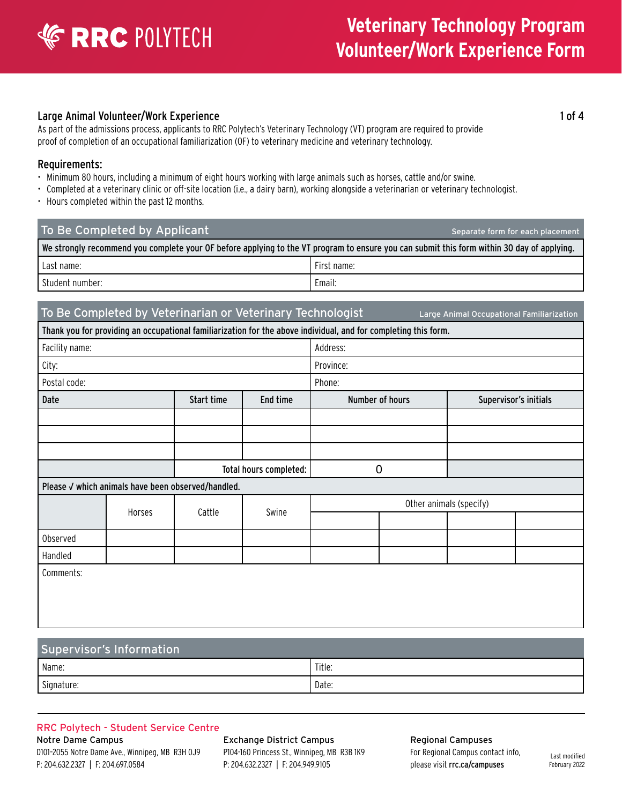### Large Animal Volunteer/Work Experience 1 of 4

As part of the admissions process, applicants to RRC Polytech's Veterinary Technology (VT) program are required to provide proof of completion of an occupational familiarization (OF) to veterinary medicine and veterinary technology.

### Requirements:

- Minimum 80 hours, including a minimum of eight hours working with large animals such as horses, cattle and/or swine.
- Completed at a veterinary clinic or off-site location (i.e., a dairy barn), working alongside a veterinarian or veterinary technologist.
- Hours completed within the past 12 months.

| To Be Completed by Applicant                                                                                                               | Separate form for each placement |
|--------------------------------------------------------------------------------------------------------------------------------------------|----------------------------------|
| We strongly recommend you complete your OF before applying to the VT program to ensure you can submit this form within 30 day of applying. |                                  |
| l Last name:                                                                                                                               | l First name:                    |
| Student number:                                                                                                                            | Email:                           |

### To Be Completed by Veterinarian or Veterinary Technologist Large Animal Occupational Familiarization

Thank you for providing an occupational familiarization for the above individual, and for completing this form.

| Facility name:                                     |        |            | Address:    |                                          |  |  |  |
|----------------------------------------------------|--------|------------|-------------|------------------------------------------|--|--|--|
| City:                                              |        |            | Province:   |                                          |  |  |  |
| Postal code:                                       |        |            | Phone:      |                                          |  |  |  |
| Date                                               |        | Start time | End time    | Number of hours<br>Supervisor's initials |  |  |  |
|                                                    |        |            |             |                                          |  |  |  |
|                                                    |        |            |             |                                          |  |  |  |
|                                                    |        |            |             |                                          |  |  |  |
| Total hours completed:                             |        |            | $\mathbf 0$ |                                          |  |  |  |
| Please √ which animals have been observed/handled. |        |            |             |                                          |  |  |  |
|                                                    | Horses | Cattle     | Swine       | Other animals (specify)                  |  |  |  |
|                                                    |        |            |             |                                          |  |  |  |
| Observed                                           |        |            |             |                                          |  |  |  |
| Handled                                            |        |            |             |                                          |  |  |  |
| Comments:                                          |        |            |             |                                          |  |  |  |
|                                                    |        |            |             |                                          |  |  |  |
|                                                    |        |            |             |                                          |  |  |  |
|                                                    |        |            |             |                                          |  |  |  |

### Supervisor's Information

| Name:      | $-1$<br>Title: |
|------------|----------------|
| Signature: | Date:          |

#### RRC Polytech - Student Service Centre

Notre Dame Campus D101–2055 Notre Dame Ave., Winnipeg, MB R3H 0J9 P: 204.632.2327 | F: 204.697.0584

Exchange District Campus P104-160 Princess St., Winnipeg, MB R3B 1K9 P: 204.632.2327 | F: 204.949.9105

Regional Campuses For Regional Campus contact info, please visit [rrc.ca/campuses](http://www.rrc.ca/campuses/)

Last modified February 2022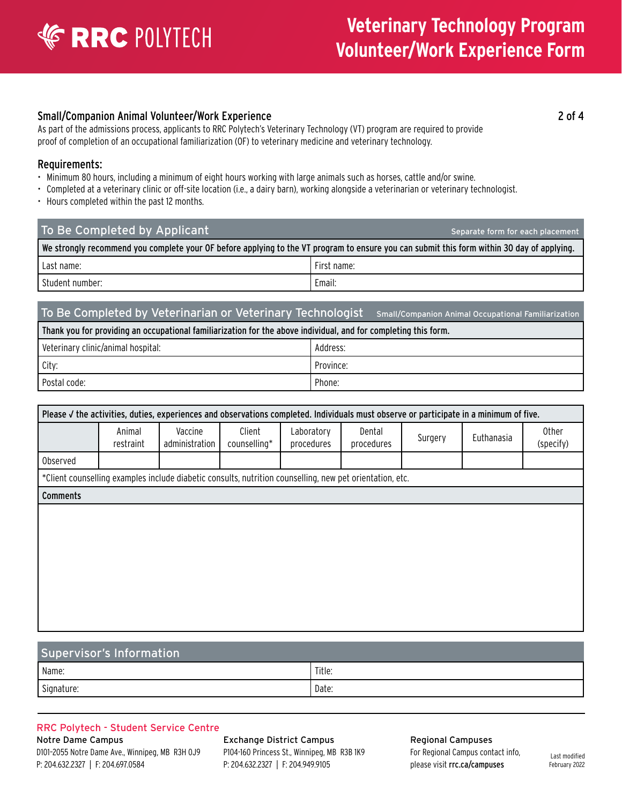# **ERRC POLYTECH**

# **Veterinary Technology Program Volunteer/Work Experience Form**

### Small/Companion Animal Volunteer/Work Experience 2 of 4

As part of the admissions process, applicants to RRC Polytech's Veterinary Technology (VT) program are required to provide proof of completion of an occupational familiarization (OF) to veterinary medicine and veterinary technology.

### Requirements:

- Minimum 80 hours, including a minimum of eight hours working with large animals such as horses, cattle and/or swine.
- Completed at a veterinary clinic or off-site location (i.e., a dairy barn), working alongside a veterinarian or veterinary technologist.
- Hours completed within the past 12 months.

| To Be Completed by Applicant                                                                                                               | Separate form for each placement |
|--------------------------------------------------------------------------------------------------------------------------------------------|----------------------------------|
| We strongly recommend you complete your OF before applying to the VT program to ensure you can submit this form within 30 day of applying. |                                  |
| Last name:                                                                                                                                 | First name:                      |
| Student number:                                                                                                                            | Email:                           |

### To Be Completed by Veterinarian or Veterinary Technologist Small/Companion Animal Occupational Familiarization

Thank you for providing an occupational familiarization for the above individual, and for completing this form.

| Veterinary clinic/animal hospital: | Address:  |
|------------------------------------|-----------|
| City:                              | Province: |
| Postal code:                       | Phone:    |

| Please V the activities, duties, experiences and observations completed. Individuals must observe or participate in a minimum of five. |                                                                                                          |                           |                        |                          |                      |         |            |                           |
|----------------------------------------------------------------------------------------------------------------------------------------|----------------------------------------------------------------------------------------------------------|---------------------------|------------------------|--------------------------|----------------------|---------|------------|---------------------------|
|                                                                                                                                        | Animal<br>restraint                                                                                      | Vaccine<br>administration | Client<br>counselling* | Laboratory<br>procedures | Dental<br>procedures | Surgery | Euthanasia | <b>Other</b><br>(specify) |
| Observed                                                                                                                               |                                                                                                          |                           |                        |                          |                      |         |            |                           |
|                                                                                                                                        | *Client counselling examples include diabetic consults, nutrition counselling, new pet orientation, etc. |                           |                        |                          |                      |         |            |                           |
| <b>Comments</b>                                                                                                                        |                                                                                                          |                           |                        |                          |                      |         |            |                           |
|                                                                                                                                        |                                                                                                          |                           |                        |                          |                      |         |            |                           |
|                                                                                                                                        |                                                                                                          |                           |                        |                          |                      |         |            |                           |
|                                                                                                                                        |                                                                                                          |                           |                        |                          |                      |         |            |                           |
|                                                                                                                                        |                                                                                                          |                           |                        |                          |                      |         |            |                           |
|                                                                                                                                        |                                                                                                          |                           |                        |                          |                      |         |            |                           |

### Supervisor's Information

| Name:                | ' Title: |
|----------------------|----------|
| $\sim$<br>Signature: | Date:    |

#### RRC Polytech - Student Service Centre

Notre Dame Campus D101–2055 Notre Dame Ave., Winnipeg, MB R3H 0J9 P: 204.632.2327 | F: 204.697.0584

Exchange District Campus P104-160 Princess St., Winnipeg, MB R3B 1K9 P: 204.632.2327 | F: 204.949.9105

Regional Campuses For Regional Campus contact info, please visit [rrc.ca/campuses](http://www.rrc.ca/campuses/)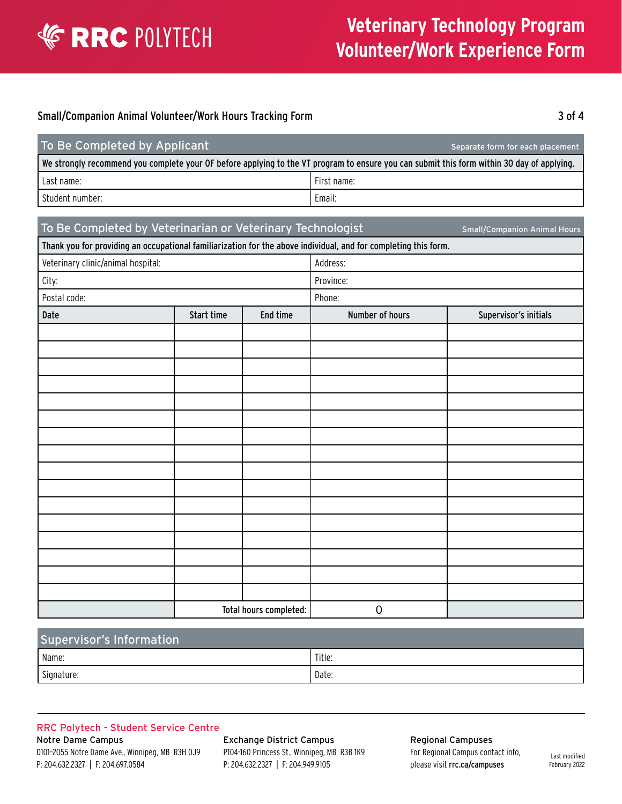

# **Veterinary Technology Program Volunteer/Work Experience Form**

### Small/Companion Animal Volunteer/Work Hours Tracking Form 3 3 3 3 3 3 3 3 3 4

| To Be Completed by Applicant                                                                                                               | Separate form for each placement |
|--------------------------------------------------------------------------------------------------------------------------------------------|----------------------------------|
| We strongly recommend you complete your OF before applying to the VT program to ensure you can submit this form within 30 day of applying. |                                  |
| Last name:                                                                                                                                 | l First name:                    |
| l Student number: .                                                                                                                        | Email:                           |

### To Be Completed by Veterinarian or Veterinary Technologist Small/Companion Animal Hours

| Thank you for providing an occupational familiarization for the above individual, and for completing this form. |            |                        |                 |                       |  |
|-----------------------------------------------------------------------------------------------------------------|------------|------------------------|-----------------|-----------------------|--|
| Veterinary clinic/animal hospital:                                                                              |            | Address:               |                 |                       |  |
| City:                                                                                                           |            | Province:              |                 |                       |  |
| Postal code:                                                                                                    |            |                        | Phone:          |                       |  |
| Date                                                                                                            | Start time | End time               | Number of hours | Supervisor's initials |  |
|                                                                                                                 |            |                        |                 |                       |  |
|                                                                                                                 |            |                        |                 |                       |  |
|                                                                                                                 |            |                        |                 |                       |  |
|                                                                                                                 |            |                        |                 |                       |  |
|                                                                                                                 |            |                        |                 |                       |  |
|                                                                                                                 |            |                        |                 |                       |  |
|                                                                                                                 |            |                        |                 |                       |  |
|                                                                                                                 |            |                        |                 |                       |  |
|                                                                                                                 |            |                        |                 |                       |  |
|                                                                                                                 |            |                        |                 |                       |  |
|                                                                                                                 |            |                        |                 |                       |  |
|                                                                                                                 |            |                        |                 |                       |  |
|                                                                                                                 |            |                        |                 |                       |  |
|                                                                                                                 |            |                        |                 |                       |  |
|                                                                                                                 |            |                        |                 |                       |  |
|                                                                                                                 |            |                        |                 |                       |  |
|                                                                                                                 |            | Total hours completed: | $\mathbf 0$     |                       |  |

| Supervisor's Information |        |  |  |
|--------------------------|--------|--|--|
| Name:                    | Title: |  |  |
| Signature:               | Date:  |  |  |

#### RRC Polytech - Student Service Centre

Notre Dame Campus D101–2055 Notre Dame Ave., Winnipeg, MB R3H 0J9 P: 204.632.2327 | F: 204.697.0584

Exchange District Campus P104-160 Princess St., Winnipeg, MB R3B 1K9 P: 204.632.2327 | F: 204.949.9105

Regional Campuses For Regional Campus contact info, please visit [rrc.ca/campuses](http://www.rrc.ca/campuses/)